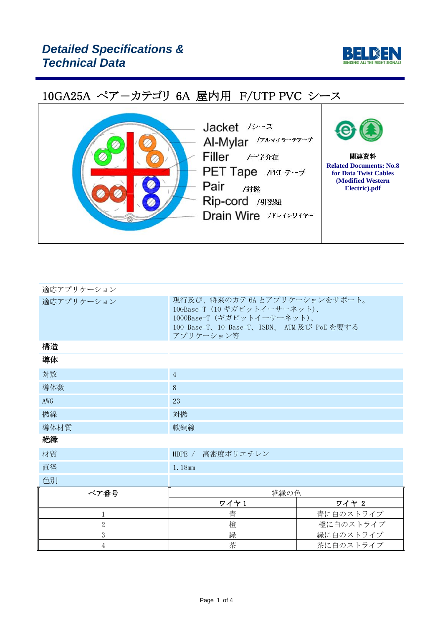



| 適応アプリケーション     |                                                                                                                                                        |           |  |  |  |
|----------------|--------------------------------------------------------------------------------------------------------------------------------------------------------|-----------|--|--|--|
| 適応アプリケーション     | 現行及び、将来のカテ 6A とアプリケーションをサポート。<br>10GBase-T (10 ギガビットイーサーネット)、<br>1000Base-T (ギガビットイーサーネット)、<br>100 Base-T、10 Base-T、ISDN、 ATM 及び PoE を要する<br>アプリケーション等 |           |  |  |  |
| 構造             |                                                                                                                                                        |           |  |  |  |
| 導体             |                                                                                                                                                        |           |  |  |  |
| 対数             | $\overline{4}$                                                                                                                                         |           |  |  |  |
| 導体数            | 8                                                                                                                                                      |           |  |  |  |
| AWG            | 23                                                                                                                                                     |           |  |  |  |
| 撚線             | 対撚                                                                                                                                                     |           |  |  |  |
| 導体材質           | 軟銅線                                                                                                                                                    |           |  |  |  |
| 絶縁             |                                                                                                                                                        |           |  |  |  |
| 材質             | HDPE / 高密度ポリエチレン                                                                                                                                       |           |  |  |  |
| 直径             | 1.18mm                                                                                                                                                 |           |  |  |  |
| 色別             |                                                                                                                                                        |           |  |  |  |
| ペア番号           | 絶縁の色                                                                                                                                                   |           |  |  |  |
|                | ワイヤ1                                                                                                                                                   | ワイヤ 2     |  |  |  |
| 1              | 青<br>青に白のストライプ                                                                                                                                         |           |  |  |  |
| $\overline{2}$ | 橙                                                                                                                                                      | 橙に白のストライプ |  |  |  |

3 インプレート および おくしゃ ふくしゃ 緑 はんこう トライプ 4 茶 茶に白のストライプ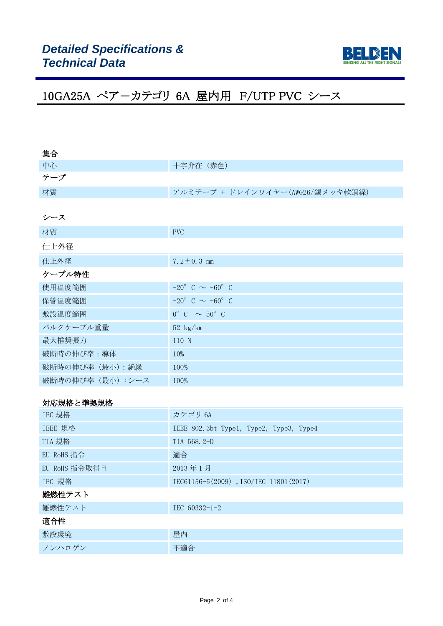

| 集合                |                                      |
|-------------------|--------------------------------------|
| 中心                | 十字介在 (赤色)                            |
| テープ               |                                      |
| 材質                | アルミテープ + ドレインワイヤー(AWG26/錫メッキ軟銅線)     |
|                   |                                      |
| シース               |                                      |
| 材質                | <b>PVC</b>                           |
| 仕上外径              |                                      |
| 仕上外径              | 7.2 $\pm$ 0.3 mm                     |
| ケーブル特性            |                                      |
| 使用温度範囲            | $-20^{\circ}$ C $\sim +60^{\circ}$ C |
| 保管温度範囲            | $-20^{\circ}$ C $\sim +60^{\circ}$ C |
| 敷設温度範囲            | $0^{\circ}$ C $\sim$ 50° C           |
| バルクケーブル重量         | $52 \text{ kg/km}$                   |
| 最大推奨張力            | 110 N                                |
| 破断時の伸び率:導体        | 10%                                  |
| 破断時の伸び率 (最小): 絶縁  | 100%                                 |
| 破断時の伸び率 (最小) :シース | 100%                                 |
|                   |                                      |

### 対応規格と準拠規格

| IEC 規格        | カテゴリ 6A                                 |  |  |  |
|---------------|-----------------------------------------|--|--|--|
| IEEE 規格       | IEEE 802.3bt Type1, Type2, Type3, Type4 |  |  |  |
| TIA 規格        | TIA 568.2-D                             |  |  |  |
| EU RoHS 指令    | 適合                                      |  |  |  |
| EU RoHS 指令取得日 | 2013年1月                                 |  |  |  |
| IEC 規格        | IEC61156-5(2009), ISO/IEC 11801(2017)   |  |  |  |
| 難燃性テスト        |                                         |  |  |  |
| 難燃性テスト        | IEC $60332 - 1 - 2$                     |  |  |  |
| 適合性           |                                         |  |  |  |
| 敷設環境          | 屋内                                      |  |  |  |
| ノンハロゲン        | 不適合                                     |  |  |  |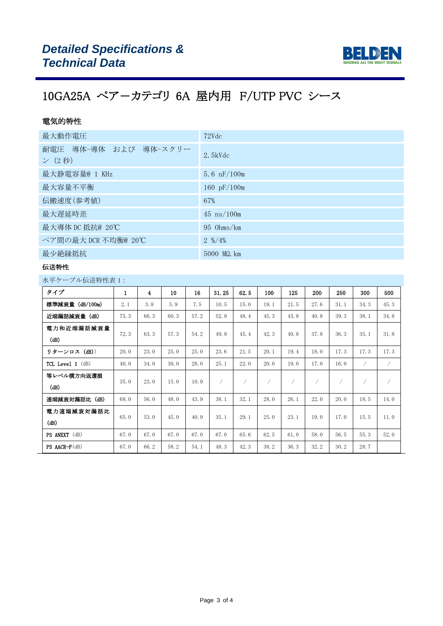

### 電気的特性

| 最大動作電圧                          | 72Vdc                        |
|---------------------------------|------------------------------|
| 耐電圧 導体-導体 および 導体-スクリー<br>ン (2秒) | $2.5$ kVdc                   |
| 最大静電容量@ 1 KHz                   | 5.6 $nF/100m$                |
| 最大容量不平衡                         | 160 $pF/100m$                |
| 伝搬速度(参考値)                       | 67%                          |
| 最大遅延時差                          | $45 \text{ ns}/100 \text{m}$ |
| 最大導体 DC 抵抗@ 20℃                 | $95$ Ohms/km                 |
| ペア間の最大 DCR 不均衡@ 20℃             | $2 \frac{9}{4\%}$            |
| 最少絶縁抵抗                          | $5000$ M $\Omega$ , km       |

#### 伝送特性

水平ケーブル伝送特性表 1:

| タイプ                    | $\mathbf{1}$ | $\overline{\mathbf{4}}$ | 10   | 16   | 31.25 | 62.5 | 100  | 125  | 200  | 250  | 300  | 500        |
|------------------------|--------------|-------------------------|------|------|-------|------|------|------|------|------|------|------------|
| 標準減衰量 (dB/100m)        | 2.1          | 3.8                     | 5.9  | 7.5  | 10.5  | 15.0 | 19.1 | 21.5 | 27.6 | 31.1 | 34.3 | 45.3       |
| 近端漏話減衰量 (dB)           | 75.3         | 66.3                    | 60.3 | 57.2 | 52.9  | 48.4 | 45.3 | 43.8 | 40.8 | 39.3 | 38.1 | 34.8       |
| 電力和近端漏話減衰量<br>(dB)     | 72.3         | 63.3                    | 57.3 | 54.2 | 49.9  | 45.4 | 42.3 | 40.8 | 37.8 | 36.3 | 35.1 | 31.8       |
| リターンロス (dB))           | 20.0         | 23.0                    | 25.0 | 25.0 | 23.6  | 21.5 | 20.1 | 19.4 | 18.0 | 17.3 | 17.3 | 17.3       |
| TCL Level $1$ ( $dB$ ) | 40.0         | 34.0                    | 30.0 | 28.0 | 25.1  | 22.0 | 20.0 | 19.0 | 17.0 | 16.0 |      | $\sqrt{2}$ |
| 等レベル横方向返還損<br>(dB)     | 35.0         | 23.0                    | 15.0 | 10.9 |       | 7    |      |      |      |      |      | $\sqrt{2}$ |
| 遠端減衰対漏話比(dB)           | 68.0         | 56.0                    | 48.0 | 43.9 | 38.1  | 32.1 | 28.0 | 26.1 | 22.0 | 20.0 | 18.5 | 14.0       |
| 電力遠端減衰対漏話比<br>(dB)     | 65.0         | 53.0                    | 45.0 | 40.9 | 35.1  | 29.1 | 25.0 | 23.1 | 19.0 | 17.0 | 15.5 | 11.0       |
| <b>PS ANEXT</b> (dB)   | 67.0         | 67.0                    | 67.0 | 67.0 | 67.0  | 65.6 | 62.5 | 61.0 | 58.0 | 56.5 | 55.3 | 52.0       |
| $PS$ AACR- $F$ (dB)    | 67.0         | 66.2                    | 58.2 | 54.1 | 48.3  | 42.3 | 38.2 | 36.3 | 32.2 | 30.2 | 28.7 |            |